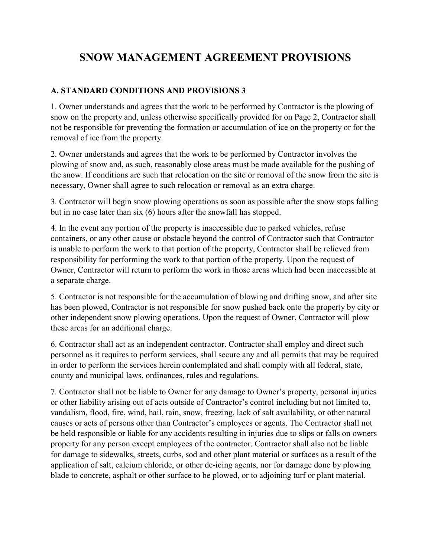## **SNOW MANAGEMENT AGREEMENT PROVISIONS**

## **A. STANDARD CONDITIONS AND PROVISIONS 3**

1. Owner understands and agrees that the work to be performed by Contractor is the plowing of snow on the property and, unless otherwise specifically provided for on Page 2, Contractor shall not be responsible for preventing the formation or accumulation of ice on the property or for the removal of ice from the property.

2. Owner understands and agrees that the work to be performed by Contractor involves the plowing of snow and, as such, reasonably close areas must be made available for the pushing of the snow. If conditions are such that relocation on the site or removal of the snow from the site is necessary, Owner shall agree to such relocation or removal as an extra charge.

3. Contractor will begin snow plowing operations as soon as possible after the snow stops falling but in no case later than six (6) hours after the snowfall has stopped.

4. In the event any portion of the property is inaccessible due to parked vehicles, refuse containers, or any other cause or obstacle beyond the control of Contractor such that Contractor is unable to perform the work to that portion of the property, Contractor shall be relieved from responsibility for performing the work to that portion of the property. Upon the request of Owner, Contractor will return to perform the work in those areas which had been inaccessible at a separate charge.

5. Contractor is not responsible for the accumulation of blowing and drifting snow, and after site has been plowed, Contractor is not responsible for snow pushed back onto the property by city or other independent snow plowing operations. Upon the request of Owner, Contractor will plow these areas for an additional charge.

6. Contractor shall act as an independent contractor. Contractor shall employ and direct such personnel as it requires to perform services, shall secure any and all permits that may be required in order to perform the services herein contemplated and shall comply with all federal, state, county and municipal laws, ordinances, rules and regulations.

7. Contractor shall not be liable to Owner for any damage to Owner's property, personal injuries or other liability arising out of acts outside of Contractor's control including but not limited to, vandalism, flood, fire, wind, hail, rain, snow, freezing, lack of salt availability, or other natural causes or acts of persons other than Contractor's employees or agents. The Contractor shall not be held responsible or liable for any accidents resulting in injuries due to slips or falls on owners property for any person except employees of the contractor. Contractor shall also not be liable for damage to sidewalks, streets, curbs, sod and other plant material or surfaces as a result of the application of salt, calcium chloride, or other de-icing agents, nor for damage done by plowing blade to concrete, asphalt or other surface to be plowed, or to adjoining turf or plant material.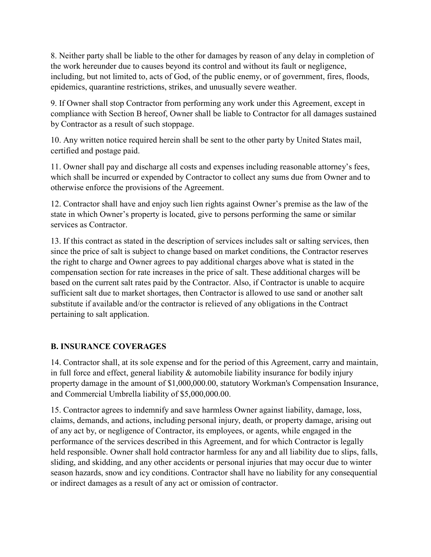8. Neither party shall be liable to the other for damages by reason of any delay in completion of the work hereunder due to causes beyond its control and without its fault or negligence, including, but not limited to, acts of God, of the public enemy, or of government, fires, floods, epidemics, quarantine restrictions, strikes, and unusually severe weather.

9. If Owner shall stop Contractor from performing any work under this Agreement, except in compliance with Section B hereof, Owner shall be liable to Contractor for all damages sustained by Contractor as a result of such stoppage.

10. Any written notice required herein shall be sent to the other party by United States mail, certified and postage paid.

11. Owner shall pay and discharge all costs and expenses including reasonable attorney's fees, which shall be incurred or expended by Contractor to collect any sums due from Owner and to otherwise enforce the provisions of the Agreement.

12. Contractor shall have and enjoy such lien rights against Owner's premise as the law of the state in which Owner's property is located, give to persons performing the same or similar services as Contractor.

13. If this contract as stated in the description of services includes salt or salting services, then since the price of salt is subject to change based on market conditions, the Contractor reserves the right to charge and Owner agrees to pay additional charges above what is stated in the compensation section for rate increases in the price of salt. These additional charges will be based on the current salt rates paid by the Contractor. Also, if Contractor is unable to acquire sufficient salt due to market shortages, then Contractor is allowed to use sand or another salt substitute if available and/or the contractor is relieved of any obligations in the Contract pertaining to salt application.

## **B. INSURANCE COVERAGES**

14. Contractor shall, at its sole expense and for the period of this Agreement, carry and maintain, in full force and effect, general liability & automobile liability insurance for bodily injury property damage in the amount of \$1,000,000.00, statutory Workman's Compensation Insurance, and Commercial Umbrella liability of \$5,000,000.00.

15. Contractor agrees to indemnify and save harmless Owner against liability, damage, loss, claims, demands, and actions, including personal injury, death, or property damage, arising out of any act by, or negligence of Contractor, its employees, or agents, while engaged in the performance of the services described in this Agreement, and for which Contractor is legally held responsible. Owner shall hold contractor harmless for any and all liability due to slips, falls, sliding, and skidding, and any other accidents or personal injuries that may occur due to winter season hazards, snow and icy conditions. Contractor shall have no liability for any consequential or indirect damages as a result of any act or omission of contractor.